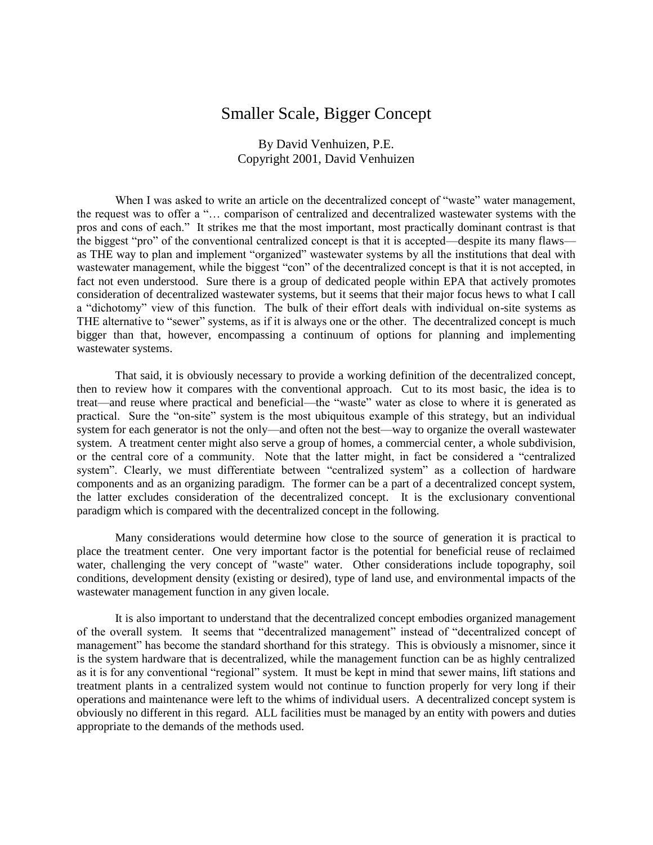## Smaller Scale, Bigger Concept

By David Venhuizen, P.E. Copyright 2001, David Venhuizen

When I was asked to write an article on the decentralized concept of "waste" water management, the request was to offer a "... comparison of centralized and decentralized wastewater systems with the pros and cons of each." It strikes me that the most important, most practically dominant contrast is that the biggest "pro" of the conventional centralized concept is that it is accepted—despite its many flaws as THE way to plan and implement "organized" wastewater systems by all the institutions that deal with wastewater management, while the biggest "con" of the decentralized concept is that it is not accepted, in fact not even understood. Sure there is a group of dedicated people within EPA that actively promotes consideration of decentralized wastewater systems, but it seems that their major focus hews to what I call a "dichotomy" view of this function. The bulk of their effort deals with individual on-site systems as THE alternative to "sewer" systems, as if it is always one or the other. The decentralized concept is much bigger than that, however, encompassing a continuum of options for planning and implementing wastewater systems.

That said, it is obviously necessary to provide a working definition of the decentralized concept, then to review how it compares with the conventional approach. Cut to its most basic, the idea is to treat—and reuse where practical and beneficial—the "waste" water as close to where it is generated as practical. Sure the "on-site" system is the most ubiquitous example of this strategy, but an individual system for each generator is not the only—and often not the best—way to organize the overall wastewater system. A treatment center might also serve a group of homes, a commercial center, a whole subdivision, or the central core of a community. Note that the latter might, in fact be considered a "centralized system". Clearly, we must differentiate between "centralized system" as a collection of hardware components and as an organizing paradigm. The former can be a part of a decentralized concept system, the latter excludes consideration of the decentralized concept. It is the exclusionary conventional paradigm which is compared with the decentralized concept in the following.

Many considerations would determine how close to the source of generation it is practical to place the treatment center. One very important factor is the potential for beneficial reuse of reclaimed water, challenging the very concept of "waste" water. Other considerations include topography, soil conditions, development density (existing or desired), type of land use, and environmental impacts of the wastewater management function in any given locale.

It is also important to understand that the decentralized concept embodies organized management of the overall system. It seems that "decentralized management" instead of "decentralized concept of management" has become the standard shorthand for this strategy. This is obviously a misnomer, since it is the system hardware that is decentralized, while the management function can be as highly centralized as it is for any conventional "regional" system. It must be kept in mind that sewer mains, lift stations and treatment plants in a centralized system would not continue to function properly for very long if their operations and maintenance were left to the whims of individual users. A decentralized concept system is obviously no different in this regard. ALL facilities must be managed by an entity with powers and duties appropriate to the demands of the methods used.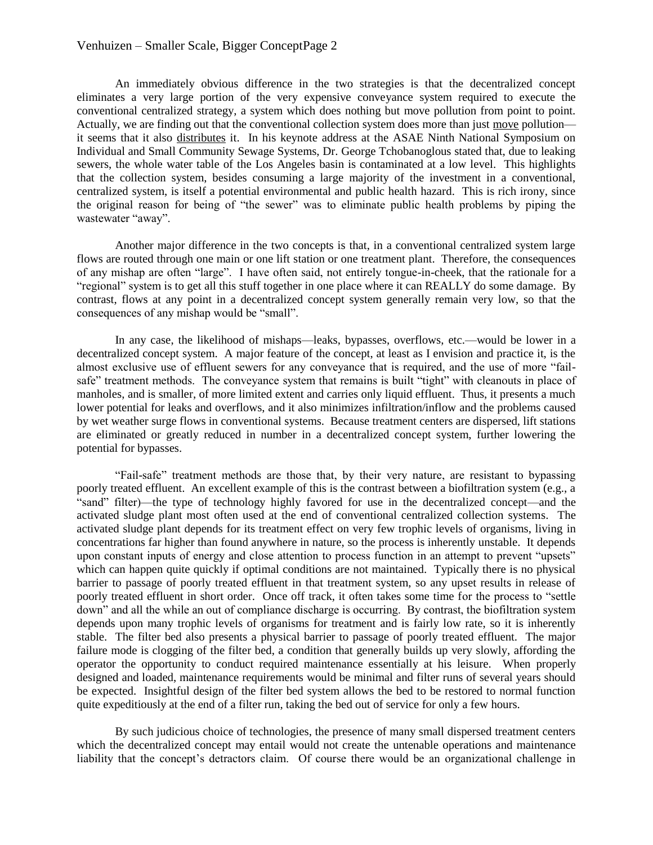## Venhuizen – Smaller Scale, Bigger ConceptPage 2

An immediately obvious difference in the two strategies is that the decentralized concept eliminates a very large portion of the very expensive conveyance system required to execute the conventional centralized strategy, a system which does nothing but move pollution from point to point. Actually, we are finding out that the conventional collection system does more than just move pollution it seems that it also distributes it. In his keynote address at the ASAE Ninth National Symposium on Individual and Small Community Sewage Systems, Dr. George Tchobanoglous stated that, due to leaking sewers, the whole water table of the Los Angeles basin is contaminated at a low level. This highlights that the collection system, besides consuming a large majority of the investment in a conventional, centralized system, is itself a potential environmental and public health hazard. This is rich irony, since the original reason for being of "the sewer" was to eliminate public health problems by piping the wastewater "away".

Another major difference in the two concepts is that, in a conventional centralized system large flows are routed through one main or one lift station or one treatment plant. Therefore, the consequences of any mishap are often "large". I have often said, not entirely tongue-in-cheek, that the rationale for a "regional" system is to get all this stuff together in one place where it can REALLY do some damage. By contrast, flows at any point in a decentralized concept system generally remain very low, so that the consequences of any mishap would be "small".

In any case, the likelihood of mishaps—leaks, bypasses, overflows, etc.—would be lower in a decentralized concept system. A major feature of the concept, at least as I envision and practice it, is the almost exclusive use of effluent sewers for any conveyance that is required, and the use of more "failsafe" treatment methods. The conveyance system that remains is built "tight" with cleanouts in place of manholes, and is smaller, of more limited extent and carries only liquid effluent. Thus, it presents a much lower potential for leaks and overflows, and it also minimizes infiltration/inflow and the problems caused by wet weather surge flows in conventional systems. Because treatment centers are dispersed, lift stations are eliminated or greatly reduced in number in a decentralized concept system, further lowering the potential for bypasses.

―Fail-safe‖ treatment methods are those that, by their very nature, are resistant to bypassing poorly treated effluent. An excellent example of this is the contrast between a biofiltration system (e.g., a ―sand‖ filter)—the type of technology highly favored for use in the decentralized concept—and the activated sludge plant most often used at the end of conventional centralized collection systems. The activated sludge plant depends for its treatment effect on very few trophic levels of organisms, living in concentrations far higher than found anywhere in nature, so the process is inherently unstable. It depends upon constant inputs of energy and close attention to process function in an attempt to prevent "upsets" which can happen quite quickly if optimal conditions are not maintained. Typically there is no physical barrier to passage of poorly treated effluent in that treatment system, so any upset results in release of poorly treated effluent in short order. Once off track, it often takes some time for the process to "settle" down" and all the while an out of compliance discharge is occurring. By contrast, the biofiltration system depends upon many trophic levels of organisms for treatment and is fairly low rate, so it is inherently stable. The filter bed also presents a physical barrier to passage of poorly treated effluent. The major failure mode is clogging of the filter bed, a condition that generally builds up very slowly, affording the operator the opportunity to conduct required maintenance essentially at his leisure. When properly designed and loaded, maintenance requirements would be minimal and filter runs of several years should be expected. Insightful design of the filter bed system allows the bed to be restored to normal function quite expeditiously at the end of a filter run, taking the bed out of service for only a few hours.

By such judicious choice of technologies, the presence of many small dispersed treatment centers which the decentralized concept may entail would not create the untenable operations and maintenance liability that the concept's detractors claim. Of course there would be an organizational challenge in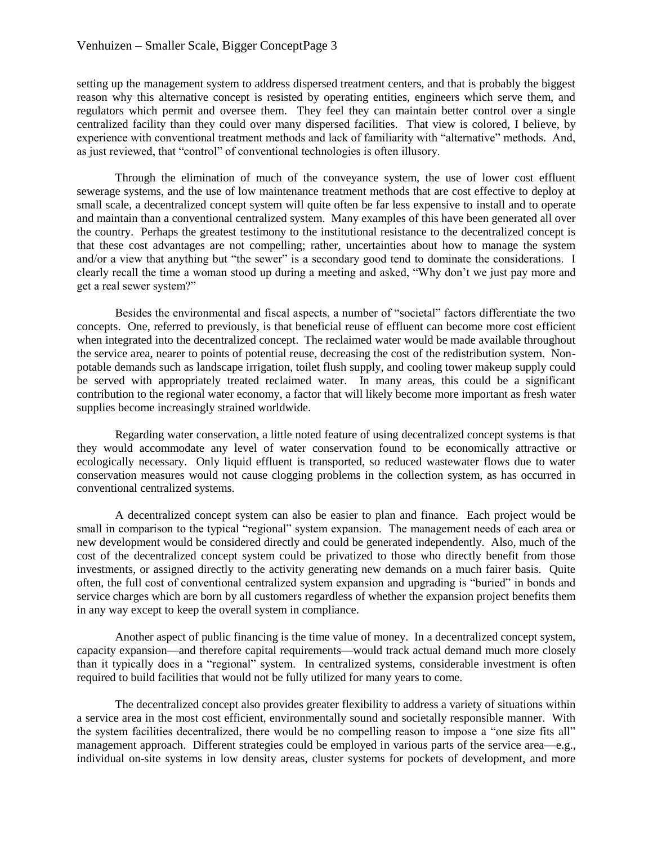setting up the management system to address dispersed treatment centers, and that is probably the biggest reason why this alternative concept is resisted by operating entities, engineers which serve them, and regulators which permit and oversee them. They feel they can maintain better control over a single centralized facility than they could over many dispersed facilities. That view is colored, I believe, by experience with conventional treatment methods and lack of familiarity with "alternative" methods. And, as just reviewed, that "control" of conventional technologies is often illusory.

Through the elimination of much of the conveyance system, the use of lower cost effluent sewerage systems, and the use of low maintenance treatment methods that are cost effective to deploy at small scale, a decentralized concept system will quite often be far less expensive to install and to operate and maintain than a conventional centralized system. Many examples of this have been generated all over the country. Perhaps the greatest testimony to the institutional resistance to the decentralized concept is that these cost advantages are not compelling; rather, uncertainties about how to manage the system and/or a view that anything but "the sewer" is a secondary good tend to dominate the considerations. I clearly recall the time a woman stood up during a meeting and asked, "Why don't we just pay more and get a real sewer system?"

Besides the environmental and fiscal aspects, a number of "societal" factors differentiate the two concepts. One, referred to previously, is that beneficial reuse of effluent can become more cost efficient when integrated into the decentralized concept. The reclaimed water would be made available throughout the service area, nearer to points of potential reuse, decreasing the cost of the redistribution system. Nonpotable demands such as landscape irrigation, toilet flush supply, and cooling tower makeup supply could be served with appropriately treated reclaimed water. In many areas, this could be a significant contribution to the regional water economy, a factor that will likely become more important as fresh water supplies become increasingly strained worldwide.

Regarding water conservation, a little noted feature of using decentralized concept systems is that they would accommodate any level of water conservation found to be economically attractive or ecologically necessary. Only liquid effluent is transported, so reduced wastewater flows due to water conservation measures would not cause clogging problems in the collection system, as has occurred in conventional centralized systems.

A decentralized concept system can also be easier to plan and finance. Each project would be small in comparison to the typical "regional" system expansion. The management needs of each area or new development would be considered directly and could be generated independently. Also, much of the cost of the decentralized concept system could be privatized to those who directly benefit from those investments, or assigned directly to the activity generating new demands on a much fairer basis. Quite often, the full cost of conventional centralized system expansion and upgrading is "buried" in bonds and service charges which are born by all customers regardless of whether the expansion project benefits them in any way except to keep the overall system in compliance.

Another aspect of public financing is the time value of money. In a decentralized concept system, capacity expansion—and therefore capital requirements—would track actual demand much more closely than it typically does in a "regional" system. In centralized systems, considerable investment is often required to build facilities that would not be fully utilized for many years to come.

The decentralized concept also provides greater flexibility to address a variety of situations within a service area in the most cost efficient, environmentally sound and societally responsible manner. With the system facilities decentralized, there would be no compelling reason to impose a "one size fits all" management approach. Different strategies could be employed in various parts of the service area—e.g., individual on-site systems in low density areas, cluster systems for pockets of development, and more